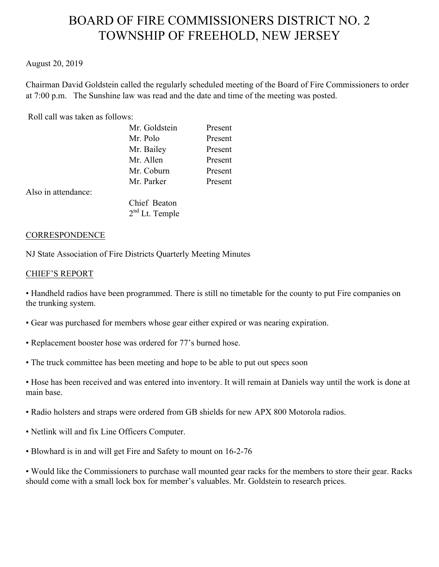# BOARD OF FIRE COMMISSIONERS DISTRICT NO. 2 TOWNSHIP OF FREEHOLD, NEW JERSEY

# August 20, 2019

Chairman David Goldstein called the regularly scheduled meeting of the Board of Fire Commissioners to order at 7:00 p.m. The Sunshine law was read and the date and time of the meeting was posted.

## Roll call was taken as follows:

|                     | Mr. Goldstein    | Present |
|---------------------|------------------|---------|
|                     | Mr. Polo         | Present |
|                     | Mr. Bailey       | Present |
|                     | Mr. Allen        | Present |
|                     | Mr. Coburn       | Present |
|                     | Mr. Parker       | Present |
| Also in attendance: |                  |         |
|                     | Chief Beaton     |         |
|                     | $2nd$ Lt. Temple |         |

#### **CORRESPONDENCE**

NJ State Association of Fire Districts Quarterly Meeting Minutes

### CHIEF'S REPORT

• Handheld radios have been programmed. There is still no timetable for the county to put Fire companies on the trunking system.

- Gear was purchased for members whose gear either expired or was nearing expiration.
- Replacement booster hose was ordered for 77's burned hose.
- The truck committee has been meeting and hope to be able to put out specs soon

• Hose has been received and was entered into inventory. It will remain at Daniels way until the work is done at main base.

- Radio holsters and straps were ordered from GB shields for new APX 800 Motorola radios.
- Netlink will and fix Line Officers Computer.
- Blowhard is in and will get Fire and Safety to mount on 16-2-76

• Would like the Commissioners to purchase wall mounted gear racks for the members to store their gear. Racks should come with a small lock box for member's valuables. Mr. Goldstein to research prices.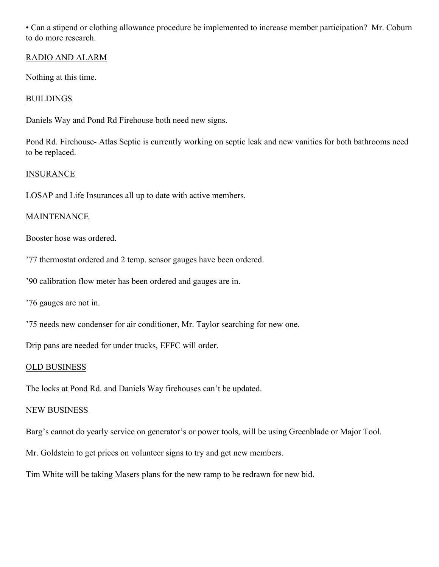• Can a stipend or clothing allowance procedure be implemented to increase member participation? Mr. Coburn to do more research.

# RADIO AND ALARM

Nothing at this time.

# BUILDINGS

Daniels Way and Pond Rd Firehouse both need new signs.

Pond Rd. Firehouse- Atlas Septic is currently working on septic leak and new vanities for both bathrooms need to be replaced.

# INSURANCE

LOSAP and Life Insurances all up to date with active members.

# MAINTENANCE

Booster hose was ordered.

'77 thermostat ordered and 2 temp. sensor gauges have been ordered.

'90 calibration flow meter has been ordered and gauges are in.

'76 gauges are not in.

'75 needs new condenser for air conditioner, Mr. Taylor searching for new one.

Drip pans are needed for under trucks, EFFC will order.

# OLD BUSINESS

The locks at Pond Rd. and Daniels Way firehouses can't be updated.

# NEW BUSINESS

Barg's cannot do yearly service on generator's or power tools, will be using Greenblade or Major Tool.

Mr. Goldstein to get prices on volunteer signs to try and get new members.

Tim White will be taking Masers plans for the new ramp to be redrawn for new bid.